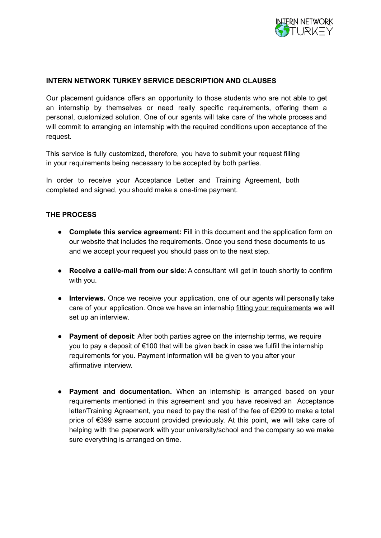

## **INTERN NETWORK TURKEY SERVICE DESCRIPTION AND CLAUSES**

Our placement guidance offers an opportunity to those students who are not able to get an internship by themselves or need really specific requirements, offering them a personal, customized solution. One of our agents will take care of the whole process and will commit to arranging an internship with the required conditions upon acceptance of the request.

This service is fully customized, therefore, you have to submit your request filling in your requirements being necessary to be accepted by both parties.

In order to receive your Acceptance Letter and Training Agreement, both completed and signed, you should make a one-time payment.

## **THE PROCESS**

- **Complete this service agreement:** Fill in this document and the application form on our website that includes the requirements. Once you send these documents to us and we accept your request you should pass on to the next step.
- **Receive a call/e-mail from our side**: A consultant will get in touch shortly to confirm with you.
- **Interviews.** Once we receive your application, one of our agents will personally take care of your application. Once we have an internship fitting your requirements we will set up an interview.
- **Payment of deposit**: After both parties agree on the internship terms, we require you to pay a deposit of €100 that will be given back in case we fulfill the internship requirements for you. Payment information will be given to you after your affirmative interview.
- **Payment and documentation.** When an internship is arranged based on your requirements mentioned in this agreement and you have received an Acceptance letter/Training Agreement, you need to pay the rest of the fee of €299 to make a total price of €399 same account provided previously. At this point, we will take care of helping with the paperwork with your university/school and the company so we make sure everything is arranged on time.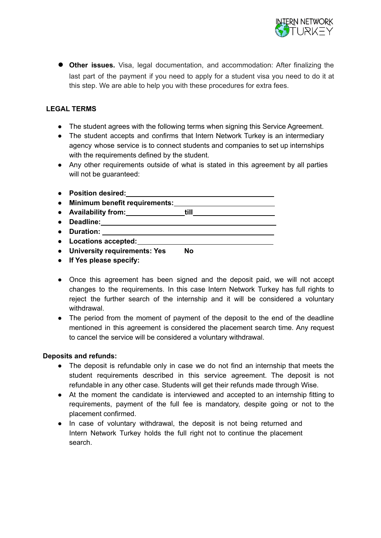

● **Other issues.** Visa, legal documentation, and accommodation: After finalizing the last part of the payment if you need to apply for a student visa you need to do it at this step. We are able to help you with these procedures for extra fees.

## **LEGAL TERMS**

- The student agrees with the following terms when signing this Service Agreement.
- The student accepts and confirms that Intern Network Turkey is an intermediary agency whose service is to connect students and companies to set up internships with the requirements defined by the student.
- Any other requirements outside of what is stated in this agreement by all parties will not be guaranteed:
- **● Position desired: ● Minimum benefit requirements: ● Availability from: till ● Deadline: ● Duration: ● Locations accepted: ● University requirements: Yes No**
- **● If Yes please specify:**
- Once this agreement has been signed and the deposit paid, we will not accept changes to the requirements. In this case Intern Network Turkey has full rights to reject the further search of the internship and it will be considered a voluntary withdrawal.
- The period from the moment of payment of the deposit to the end of the deadline mentioned in this agreement is considered the placement search time. Any request to cancel the service will be considered a voluntary withdrawal.

## **Deposits and refunds:**

- The deposit is refundable only in case we do not find an internship that meets the student requirements described in this service agreement. The deposit is not refundable in any other case. Students will get their refunds made through Wise.
- At the moment the candidate is interviewed and accepted to an internship fitting to requirements, payment of the full fee is mandatory, despite going or not to the placement confirmed.
- In case of voluntary withdrawal, the deposit is not being returned and Intern Network Turkey holds the full right not to continue the placement search.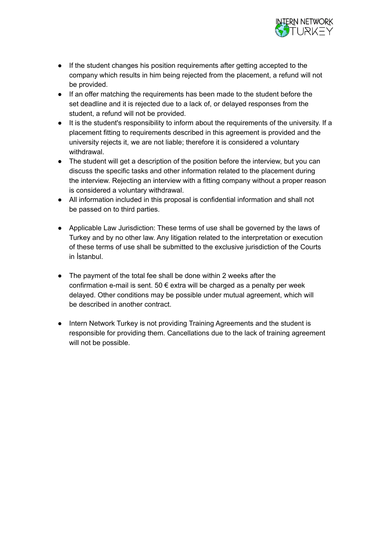

- If the student changes his position requirements after getting accepted to the company which results in him being rejected from the placement, a refund will not be provided.
- If an offer matching the requirements has been made to the student before the set deadline and it is rejected due to a lack of, or delayed responses from the student, a refund will not be provided.
- It is the student's responsibility to inform about the requirements of the university. If a placement fitting to requirements described in this agreement is provided and the university rejects it, we are not liable; therefore it is considered a voluntary withdrawal.
- The student will get a description of the position before the interview, but you can discuss the specific tasks and other information related to the placement during the interview. Rejecting an interview with a fitting company without a proper reason is considered a voluntary withdrawal.
- All information included in this proposal is confidential information and shall not be passed on to third parties.
- Applicable Law Jurisdiction: These terms of use shall be governed by the laws of Turkey and by no other law. Any litigation related to the interpretation or execution of these terms of use shall be submitted to the exclusive jurisdiction of the Courts in İstanbul.
- The payment of the total fee shall be done within 2 weeks after the confirmation e-mail is sent. 50  $\epsilon$  extra will be charged as a penalty per week delayed. Other conditions may be possible under mutual agreement, which will be described in another contract.
- Intern Network Turkey is not providing Training Agreements and the student is responsible for providing them. Cancellations due to the lack of training agreement will not be possible.